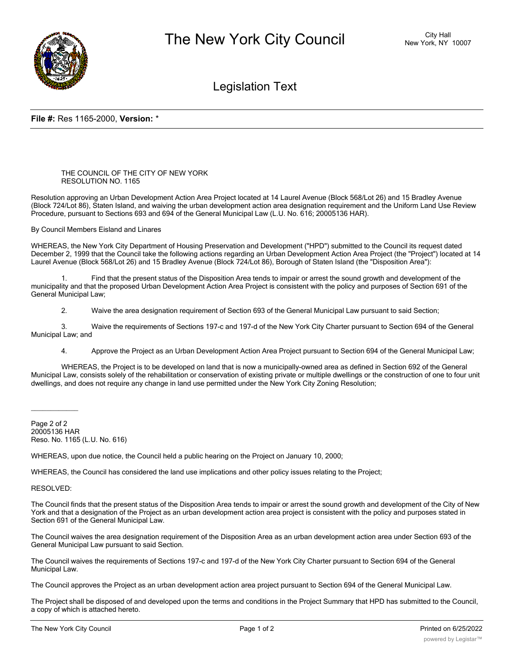

## Legislation Text

## **File #:** Res 1165-2000, **Version:** \*

## THE COUNCIL OF THE CITY OF NEW YORK RESOLUTION NO. 1165

Resolution approving an Urban Development Action Area Project located at 14 Laurel Avenue (Block 568/Lot 26) and 15 Bradley Avenue (Block 724/Lot 86), Staten Island, and waiving the urban development action area designation requirement and the Uniform Land Use Review Procedure, pursuant to Sections 693 and 694 of the General Municipal Law (L.U. No. 616; 20005136 HAR).

By Council Members Eisland and Linares

WHEREAS, the New York City Department of Housing Preservation and Development ("HPD") submitted to the Council its request dated December 2, 1999 that the Council take the following actions regarding an Urban Development Action Area Project (the "Project") located at 14 Laurel Avenue (Block 568/Lot 26) and 15 Bradley Avenue (Block 724/Lot 86), Borough of Staten Island (the "Disposition Area"):

Find that the present status of the Disposition Area tends to impair or arrest the sound growth and development of the municipality and that the proposed Urban Development Action Area Project is consistent with the policy and purposes of Section 691 of the General Municipal Law;

2. Waive the area designation requirement of Section 693 of the General Municipal Law pursuant to said Section;

3. Waive the requirements of Sections 197-c and 197-d of the New York City Charter pursuant to Section 694 of the General Municipal Law; and

4. Approve the Project as an Urban Development Action Area Project pursuant to Section 694 of the General Municipal Law;

WHEREAS, the Project is to be developed on land that is now a municipally-owned area as defined in Section 692 of the General Municipal Law, consists solely of the rehabilitation or conservation of existing private or multiple dwellings or the construction of one to four unit dwellings, and does not require any change in land use permitted under the New York City Zoning Resolution;

Page 2 of 2 20005136 HAR Reso. No. 1165 (L.U. No. 616)

WHEREAS, upon due notice, the Council held a public hearing on the Project on January 10, 2000;

WHEREAS, the Council has considered the land use implications and other policy issues relating to the Project;

RESOLVED:

 $\overline{\phantom{a}}$ 

The Council finds that the present status of the Disposition Area tends to impair or arrest the sound growth and development of the City of New York and that a designation of the Project as an urban development action area project is consistent with the policy and purposes stated in Section 691 of the General Municipal Law.

The Council waives the area designation requirement of the Disposition Area as an urban development action area under Section 693 of the General Municipal Law pursuant to said Section.

The Council waives the requirements of Sections 197-c and 197-d of the New York City Charter pursuant to Section 694 of the General Municipal Law.

The Council approves the Project as an urban development action area project pursuant to Section 694 of the General Municipal Law.

The Project shall be disposed of and developed upon the terms and conditions in the Project Summary that HPD has submitted to the Council, a copy of which is attached hereto.